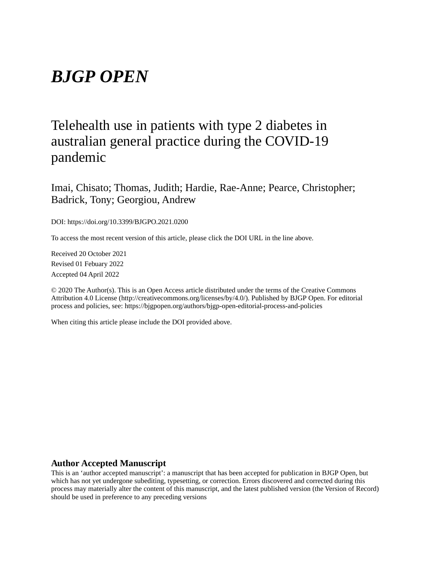# *BJGP OPEN*

# Telehealth use in patients with type 2 diabetes in australian general practice during the COVID-19 pandemic

Imai, Chisato; Thomas, Judith; Hardie, Rae-Anne; Pearce, Christopher; Badrick, Tony; Georgiou, Andrew

DOI: https://doi.org/10.3399/BJGPO.2021.0200

To access the most recent version of this article, please click the DOI URL in the line above.

Received 20 October 2021 Revised 01 Febuary 2022 Accepted 04 April 2022

© 2020 The Author(s). This is an Open Access article distributed under the terms of the Creative Commons Attribution 4.0 License (http://creativecommons.org/licenses/by/4.0/). Published by BJGP Open. For editorial process and policies, see: https://bjgpopen.org/authors/bjgp-open-editorial-process-and-policies

When citing this article please include the DOI provided above.

# **Author Accepted Manuscript**

This is an 'author accepted manuscript': a manuscript that has been accepted for publication in BJGP Open, but which has not yet undergone subediting, typesetting, or correction. Errors discovered and corrected during this process may materially alter the content of this manuscript, and the latest published version (the Version of Record) should be used in preference to any preceding versions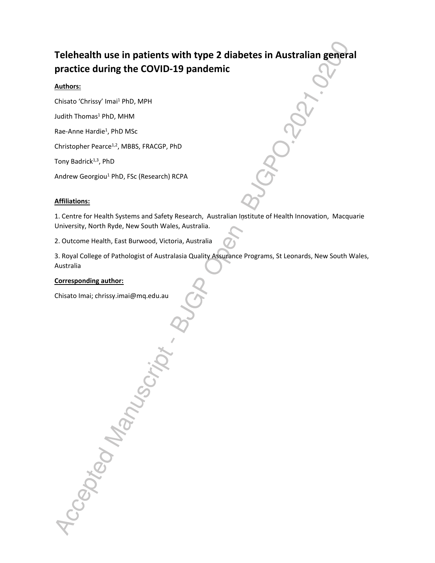# **Telehealth use in patients with type 2 diabetes in Australian general practice during the COVID-19 pandemic**

# **Authors:**

Chisato 'Chrissy' Imai<sup>1</sup> PhD, MPH

Judith Thomas<sup>1</sup> PhD, MHM

Rae-Anne Hardie<sup>1</sup>, PhD MSc

Christopher Pearce<sup>1,2</sup>, MBBS, FRACGP, PhD

Tony Badrick<sup>1,3</sup>, PhD

Andrew Georgiou<sup>1</sup> PhD, FSc (Research) RCPA

# **Affiliations:**

1. Centre for Health Systems and Safety Research, Australian Institute of Health Innovation, Macquarie University, North Ryde, New South Wales, Australia.

2. Outcome Health, East Burwood, Victoria, Australia

3. Royal College of Pathologist of Australasia Quality Assurance Programs, St Leonards, New South Wales, Australia

# **Corresponding author:**

Chisato Imai; chrissy.imai@mq.edu.au

Accepted Manuscript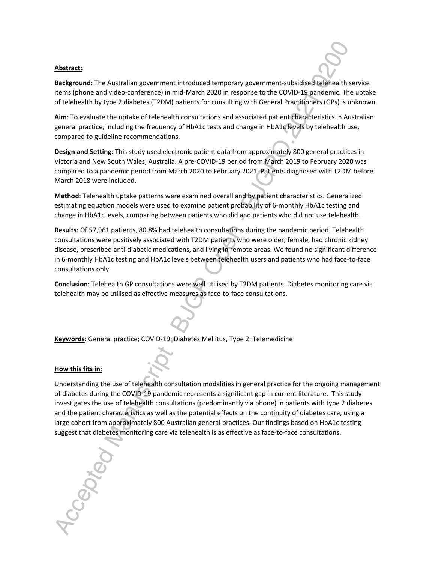#### **Abstract:***.*

**Background**: The Australian government introduced temporary government-subsidised telehealth service items (phone and video-conference) in mid-March 2020 in response to the COVID-19 pandemic. The uptake of telehealth by type 2 diabetes (T2DM) patients for consulting with General Practitioners (GPs) is unknown.

**Aim**: To evaluate the uptake of telehealth consultations and associated patient characteristics in Australian general practice, including the frequency of HbA1c tests and change in HbA1c levels by telehealth use, compared to guideline recommendations.

**Design and Setting**: This study used electronic patient data from approximately 800 general practices in Victoria and New South Wales, Australia. A pre-COVID-19 period from March 2019 to February 2020 was compared to a pandemic period from March 2020 to February 2021. Patients diagnosed with T2DM before March 2018 were included.

**Method**: Telehealth uptake patterns were examined overall and by patient characteristics. Generalized estimating equation models were used to examine patient probability of 6-monthly HbA1c testing and change in HbA1c levels, comparing between patients who did and patients who did not use telehealth.

**Results**: Of 57,961 patients, 80.8% had telehealth consultations during the pandemic period. Telehealth consultations were positively associated with T2DM patients who were older, female, had chronic kidney disease, prescribed anti-diabetic medications, and living in remote areas. We found no significant difference in 6-monthly HbA1c testing and HbA1c levels between telehealth users and patients who had face-to-face consultations only.

**Conclusion**: Telehealth GP consultations were well utilised by T2DM patients. Diabetes monitoring care via telehealth may be utilised as effective measures as face-to-face consultations.

**Keywords**: General practice; COVID-19; Diabetes Mellitus, Type 2; Telemedicine

#### **How this fits in**:

Understanding the use of telehealth consultation modalities in general practice for the ongoing management of diabetes during the COVID-19 pandemic represents a significant gap in current literature. This study investigates the use of telehealth consultations (predominantly via phone) in patients with type 2 diabetes and the patient characteristics as well as the potential effects on the continuity of diabetes care, using a large cohort from approximately 800 Australian general practices. Our findings based on HbA1c testing suggest that diabetes monitoring care via telehealth is as effective as face-to-face consultations.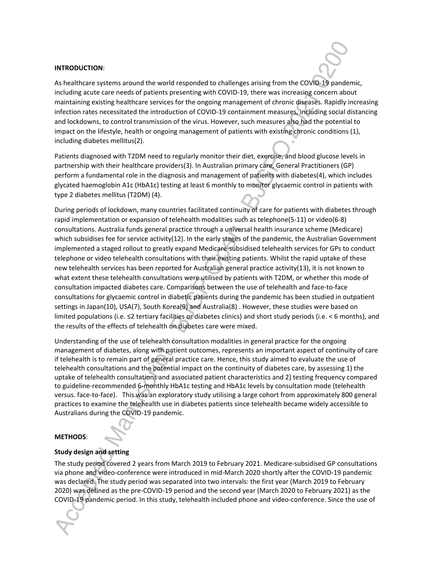#### **INTRODUCTION**:

As healthcare systems around the world responded to challenges arising from the COVID-19 pandemic, including acute care needs of patients presenting with COVID-19, there was increasing concern about maintaining existing healthcare services for the ongoing management of chronic diseases. Rapidly increasing infection rates necessitated the introduction of COVID-19 containment measures, including social distancing and lockdowns, to control transmission of the virus. However, such measures also had the potential to impact on the lifestyle, health or ongoing management of patients with existing chronic conditions (1), including diabetes mellitus(2).

Patients diagnosed with T2DM need to regularly monitor their diet, exercise, and blood glucose levels in partnership with their healthcare providers(3). In Australian primary care, General Practitioners (GP) perform a fundamental role in the diagnosis and management of patients with diabetes(4), which includes glycated haemoglobin A1c (HbA1c) testing at least 6 monthly to monitor glycaemic control in patients with type 2 diabetes mellitus (T2DM) (4).

During periods of lockdown, many countries facilitated continuity of care for patients with diabetes through rapid implementation or expansion of telehealth modalities such as telephone(5-11) or video(6-8) consultations. Australia funds general practice through a universal health insurance scheme (Medicare) which subsidises fee for service activity(12). In the early stages of the pandemic, the Australian Government implemented a staged rollout to greatly expand Medicare-subsidised telehealth services for GPs to conduct telephone or video telehealth consultations with their existing patients. Whilst the rapid uptake of these new telehealth services has been reported for Australian general practice activity(13), it is not known to what extent these telehealth consultations were utilised by patients with T2DM, or whether this mode of consultation impacted diabetes care. Comparisons between the use of telehealth and face-to-face consultations for glycaemic control in diabetic patients during the pandemic has been studied in outpatient settings in Japan(10), USA(7), South Korea(9) and Australia(8) . However, these studies were based on limited populations (i.e. ≤2 tertiary facilities or diabetes clinics) and short study periods (i.e. < 6 months), and the results of the effects of telehealth on diabetes care were mixed.

Understanding of the use of telehealth consultation modalities in general practice for the ongoing management of diabetes, along with patient outcomes, represents an important aspect of continuity of care if telehealth is to remain part of general practice care. Hence, this study aimed to evaluate the use of telehealth consultations and the potential impact on the continuity of diabetes care, by assessing 1) the uptake of telehealth consultations and associated patient characteristics and 2) testing frequency compared to guideline-recommended 6-monthly HbA1c testing and HbA1c levels by consultation mode (telehealth versus. face-to-face). This was an exploratory study utilising a large cohort from approximately 800 general practices to examine the telehealth use in diabetes patients since telehealth became widely accessible to Australians during the COVID-19 pandemic.

#### **METHODS**:

#### **Study design and setting**

The study period covered 2 years from March 2019 to February 2021. Medicare-subsidised GP consultations via phone and video-conference were introduced in mid-March 2020 shortly after the COVID-19 pandemic was declared. The study period was separated into two intervals: the first year (March 2019 to February 2020) was defined as the pre-COVID-19 period and the second year (March 2020 to February 2021) as the COVID-19 pandemic period. In this study, telehealth included phone and video-conference. Since the use of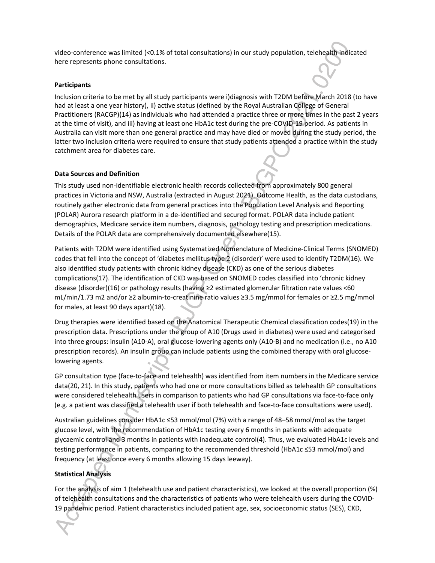video-conference was limited (<0.1% of total consultations) in our study population, telehealth indicated here represents phone consultations.

# **Participants**

Inclusion criteria to be met by all study participants were i)diagnosis with T2DM before March 2018 (to have had at least a one year history), ii) active status (defined by the Royal Australian College of General Practitioners (RACGP)(14) as individuals who had attended a practice three or more times in the past 2 years at the time of visit), and iii) having at least one HbA1c test during the pre-COVID-19 period. As patients in Australia can visit more than one general practice and may have died or moved during the study period, the latter two inclusion criteria were required to ensure that study patients attended a practice within the study catchment area for diabetes care.

# **Data Sources and Definition**

This study used non-identifiable electronic health records collected from approximately 800 general practices in Victoria and NSW, Australia (extracted in August 2021). Outcome Health, as the data custodians, routinely gather electronic data from general practices into the Population Level Analysis and Reporting (POLAR) Aurora research platform in a de-identified and secured format. POLAR data include patient demographics, Medicare service item numbers, diagnosis, pathology testing and prescription medications. Details of the POLAR data are comprehensively documented elsewhere(15).

Patients with T2DM were identified using Systematized Nomenclature of Medicine-Clinical Terms (SNOMED) codes that fell into the concept of 'diabetes mellitus type 2 (disorder)' were used to identify T2DM(16). We also identified study patients with chronic kidney disease (CKD) as one of the serious diabetes complications(17). The identification of CKD was based on SNOMED codes classified into 'chronic kidney disease (disorder)(16) or pathology results (having ≥2 estimated glomerular filtration rate values <60 mL/min/1.73 m2 and/or ≥2 albumin-to-creatinine ratio values ≥3.5 mg/mmol for females or ≥2.5 mg/mmol for males, at least 90 days apart)(18).

Drug therapies were identified based on the Anatomical Therapeutic Chemical classification codes(19) in the prescription data. Prescriptions under the group of A10 (Drugs used in diabetes) were used and categorised into three groups: insulin (A10-A), oral glucose-lowering agents only (A10-B) and no medication (i.e., no A10 prescription records). An insulin group can include patients using the combined therapy with oral glucoselowering agents.

GP consultation type (face-to-face and telehealth) was identified from item numbers in the Medicare service data(20, 21). In this study, patients who had one or more consultations billed as telehealth GP consultations were considered telehealth users in comparison to patients who had GP consultations via face-to-face only (e.g. a patient was classified a telehealth user if both telehealth and face-to-face consultations were used).

Australian guidelines consider HbA1c ≤53 mmol/mol (7%) with a range of 48–58 mmol/mol as the target glucose level, with the recommendation of HbA1c testing every 6 months in patients with adequate glycaemic control and 3 months in patients with inadequate control(4). Thus, we evaluated HbA1c levels and testing performance in patients, comparing to the recommended threshold (HbA1c ≤53 mmol/mol) and frequency (at least once every 6 months allowing 15 days leeway).

# **Statistical Analysis**

For the analysis of aim 1 (telehealth use and patient characteristics), we looked at the overall proportion (%) of telehealth consultations and the characteristics of patients who were telehealth users during the COVID-19 pandemic period. Patient characteristics included patient age, sex, socioeconomic status (SES), CKD,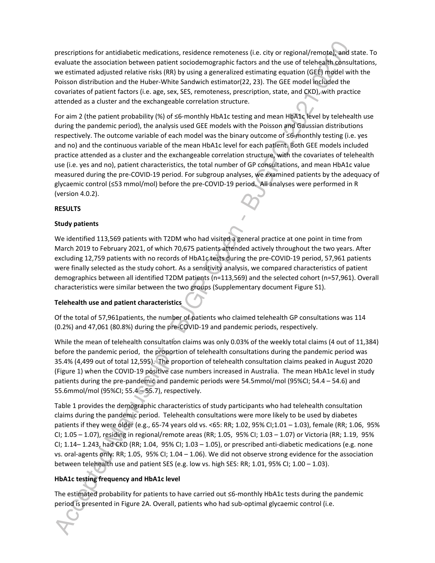prescriptions for antidiabetic medications, residence remoteness (i.e. city or regional/remote), and state. To evaluate the association between patient sociodemographic factors and the use of telehealth consultations, we estimated adjusted relative risks (RR) by using a generalized estimating equation (GEE) model with the Poisson distribution and the Huber-White Sandwich estimator(22, 23). The GEE model included the covariates of patient factors (i.e. age, sex, SES, remoteness, prescription, state, and CKD), with practice attended as a cluster and the exchangeable correlation structure.

For aim 2 (the patient probability (%) of ≤6-monthly HbA1c testing and mean HbA1c level by telehealth use during the pandemic period), the analysis used GEE models with the Poisson and Gaussian distributions respectively. The outcome variable of each model was the binary outcome of ≤6-monthly testing (i.e. yes and no) and the continuous variable of the mean HbA1c level for each patient. Both GEE models included practice attended as a cluster and the exchangeable correlation structure, with the covariates of telehealth use (i.e. yes and no), patient characteristics, the total number of GP consultations, and mean HbA1c value measured during the pre-COVID-19 period. For subgroup analyses, we examined patients by the adequacy of glycaemic control (≤53 mmol/mol) before the pre-COVID-19 period. All analyses were performed in R (version 4.0.2).

# **RESULTS**

# **Study patients**

We identified 113,569 patients with T2DM who had visited a general practice at one point in time from March 2019 to February 2021, of which 70,675 patients attended actively throughout the two years. After excluding 12,759 patients with no records of HbA1c tests during the pre-COVID-19 period, 57,961 patients were finally selected as the study cohort. As a sensitivity analysis, we compared characteristics of patient demographics between all identified T2DM patients (n=113,569) and the selected cohort (n=57,961). Overall characteristics were similar between the two groups (Supplementary document Figure S1).

# **Telehealth use and patient characteristics**

Of the total of 57,961patients, the number of patients who claimed telehealth GP consultations was 114 (0.2%) and 47,061 (80.8%) during the pre-COVID-19 and pandemic periods, respectively.

While the mean of telehealth consultation claims was only 0.03% of the weekly total claims (4 out of 11,384) before the pandemic period, the proportion of telehealth consultations during the pandemic period was 35.4% (4,499 out of total 12,595). The proportion of telehealth consultation claims peaked in August 2020 (Figure 1) when the COVID-19 positive case numbers increased in Australia. The mean HbA1c level in study patients during the pre-pandemic and pandemic periods were 54.5mmol/mol (95%CI; 54.4 – 54.6) and 55.6mmol/mol (95%CI; 55.4 – 55.7), respectively.

Table 1 provides the demographic characteristics of study participants who had telehealth consultation claims during the pandemic period. Telehealth consultations were more likely to be used by diabetes patients if they were older (e.g., 65-74 years old vs. <65: RR; 1.02, 95% CI;1.01 – 1.03), female (RR; 1.06, 95% CI; 1.05 – 1.07), residing in regional/remote areas (RR; 1.05, 95% CI; 1.03 – 1.07) or Victoria (RR; 1.19, 95% CI; 1.14–1.243, had CKD (RR; 1.04, 95% CI; 1.03 – 1.05), or prescribed anti-diabetic medications (e.g. none vs. oral-agents only: RR; 1.05, 95% CI; 1.04 – 1.06). We did not observe strong evidence for the association between telehealth use and patient SES (e.g. low vs. high SES: RR; 1.01, 95% CI; 1.00 – 1.03).

# **HbA1c testing frequency and HbA1c level**

The estimated probability for patients to have carried out ≤6-monthly HbA1c tests during the pandemic period is presented in Figure 2A. Overall, patients who had sub-optimal glycaemic control (i.e.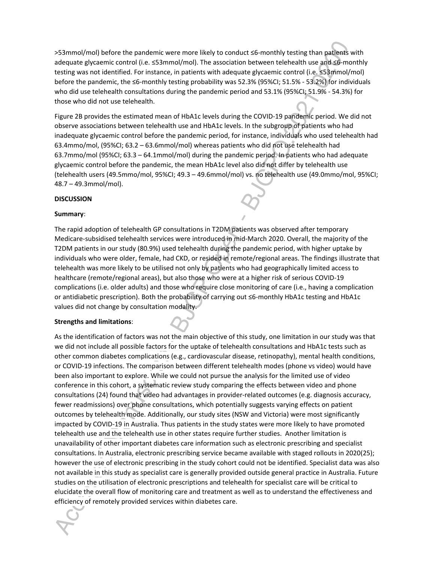>53mmol/mol) before the pandemic were more likely to conduct ≤6-monthly testing than patients with adequate glycaemic control (i.e. ≤53mmol/mol). The association between telehealth use and ≤6-monthly testing was not identified. For instance, in patients with adequate glycaemic control (i.e. ≤53mmol/mol) before the pandemic, the ≤6-monthly testing probability was 52.3% (95%CI; 51.5% - 53.2%) for individuals who did use telehealth consultations during the pandemic period and 53.1% (95%CI; 51.9% - 54.3%) for those who did not use telehealth.

Figure 2B provides the estimated mean of HbA1c levels during the COVID-19 pandemic period. We did not observe associations between telehealth use and HbA1c levels. In the subgroup of patients who had inadequate glycaemic control before the pandemic period, for instance, individuals who used telehealth had 63.4mmo/mol, (95%CI; 63.2 – 63.6mmol/mol) whereas patients who did not use telehealth had 63.7mmo/mol (95%CI; 63.3 – 64.1mmol/mol) during the pandemic period. In patients who had adequate glycaemic control before the pandemic, the mean HbA1c level also did not differ by telehealth use (telehealth users (49.5mmo/mol, 95%CI; 49.3 – 49.6mmol/mol) vs. no telehealth use (49.0mmo/mol, 95%CI; 48.7 – 49.3mmol/mol).

#### **DISCUSSION**

#### **Summary**:

The rapid adoption of telehealth GP consultations in T2DM patients was observed after temporary Medicare-subsidised telehealth services were introduced in mid-March 2020. Overall, the majority of the T2DM patients in our study (80.9%) used telehealth during the pandemic period, with higher uptake by individuals who were older, female, had CKD, or resided in remote/regional areas. The findings illustrate that telehealth was more likely to be utilised not only by patients who had geographically limited access to healthcare (remote/regional areas), but also those who were at a higher risk of serious COVID-19 complications (i.e. older adults) and those who require close monitoring of care (i.e., having a complication or antidiabetic prescription). Both the probability of carrying out ≤6-monthly HbA1c testing and HbA1c values did not change by consultation modality.

### **Strengths and limitations**:

As the identification of factors was not the main objective of this study, one limitation in our study was that we did not include all possible factors for the uptake of telehealth consultations and HbA1c tests such as other common diabetes complications (e.g., cardiovascular disease, retinopathy), mental health conditions, or COVID-19 infections. The comparison between different telehealth modes (phone vs video) would have been also important to explore. While we could not pursue the analysis for the limited use of video conference in this cohort, a systematic review study comparing the effects between video and phone consultations (24) found that video had advantages in provider-related outcomes (e.g. diagnosis accuracy, fewer readmissions) over phone consultations, which potentially suggests varying effects on patient outcomes by telehealth mode. Additionally, our study sites (NSW and Victoria) were most significantly impacted by COVID-19 in Australia. Thus patients in the study states were more likely to have promoted telehealth use and the telehealth use in other states require further studies. Another limitation is unavailability of other important diabetes care information such as electronic prescribing and specialist consultations. In Australia, electronic prescribing service became available with staged rollouts in 2020(25); however the use of electronic prescribing in the study cohort could not be identified. Specialist data was also not available in this study as specialist care is generally provided outside general practice in Australia. Future studies on the utilisation of electronic prescriptions and telehealth for specialist care will be critical to elucidate the overall flow of monitoring care and treatment as well as to understand the effectiveness and efficiency of remotely provided services within diabetes care.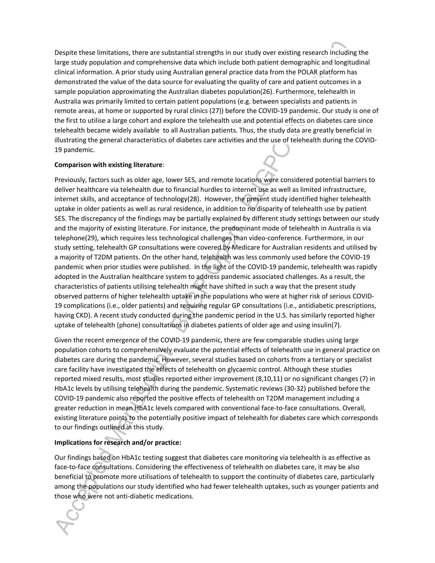Despite these limitations, there are substantial strengths in our study over existing research including the large study population and comprehensive data which include both patient demographic and longitudinal clinical information. A prior study using Australian general practice data from the POLAR platform has demonstrated the value of the data source for evaluating the quality of care and patient outcomes in a sample population approximating the Australian diabetes population(26). Furthermore, telehealth in Australia was primarily limited to certain patient populations (e.g. between specialists and patients in remote areas, at home or supported by rural clinics (27)) before the COVID-19 pandemic. Our study is one of the first to utilise a large cohort and explore the telehealth use and potential effects on diabetes care since telehealth became widely available to all Australian patients. Thus, the study data are greatly beneficial in illustrating the general characteristics of diabetes care activities and the use of telehealth during the COVID-19 pandemic.

# **Comparison with existing literature**:

Previously, factors such as older age, lower SES, and remote locations were considered potential barriers to deliver healthcare via telehealth due to financial hurdles to internet use as well as limited infrastructure, internet skills, and acceptance of technology(28). However, the present study identified higher telehealth uptake in older patients as well as rural residence, in addition to no disparity of telehealth use by patient SES. The discrepancy of the findings may be partially explained by different study settings between our study and the majority of existing literature. For instance, the predominant mode of telehealth in Australia is via telephone(29), which requires less technological challenges than video-conference. Furthermore, in our study setting, telehealth GP consultations were covered by Medicare for Australian residents and utilised by a majority of T2DM patients. On the other hand, telehealth was less commonly used before the COVID-19 pandemic when prior studies were published. In the light of the COVID-19 pandemic, telehealth was rapidly adopted in the Australian healthcare system to address pandemic associated challenges. As a result, the characteristics of patients utilising telehealth might have shifted in such a way that the present study observed patterns of higher telehealth uptake in the populations who were at higher risk of serious COVID-19 complications (i.e., older patients) and requiring regular GP consultations (i.e., antidiabetic prescriptions, having CKD). A recent study conducted during the pandemic period in the U.S. has similarly reported higher uptake of telehealth (phone) consultations in diabetes patients of older age and using insulin(7).

Given the recent emergence of the COVID-19 pandemic, there are few comparable studies using large population cohorts to comprehensively evaluate the potential effects of telehealth use in general practice on diabetes care during the pandemic. However, several studies based on cohorts from a tertiary or specialist care facility have investigated the effects of telehealth on glycaemic control. Although these studies reported mixed results, most studies reported either improvement (8,10,11) or no significant changes (7) in HbA1c levels by utilising telehealth during the pandemic. Systematic reviews (30-32) published before the COVID-19 pandemic also reported the positive effects of telehealth on T2DM management including a greater reduction in mean HbA1c levels compared with conventional face-to-face consultations. Overall, existing literature points to the potentially positive impact of telehealth for diabetes care which corresponds to our findings outlined in this study.

# **Implications for research and/or practice:**

Our findings based on HbA1c testing suggest that diabetes care monitoring via telehealth is as effective as face-to-face consultations. Considering the effectiveness of telehealth on diabetes care, it may be also beneficial to promote more utilisations of telehealth to support the continuity of diabetes care, particularly among the populations our study identified who had fewer telehealth uptakes, such as younger patients and those who were not anti-diabetic medications.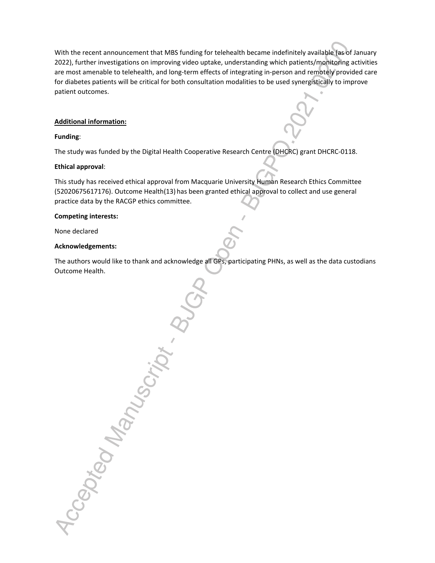With the recent announcement that MBS funding for telehealth became indefinitely available (as of January 2022), further investigations on improving video uptake, understanding which patients/monitoring activities are most amenable to telehealth, and long-term effects of integrating in-person and remotely provided care for diabetes patients will be critical for both consultation modalities to be used synergistically to improve patient outcomes.

# **Additional information:**

### **Funding**:

The study was funded by the Digital Health Cooperative Research Centre (DHCRC) grant DHCRC-0118.

### **Ethical approval**:

This study has received ethical approval from Macquarie University Human Research Ethics Committee (52020675617176). Outcome Health(13) has been granted ethical approval to collect and use general practice data by the RACGP ethics committee.

#### **Competing interests:**

None declared

### **Acknowledgements:**

Accepted Manuscript

The authors would like to thank and acknowledge all GPs, participating PHNs, as well as the data custodians Outcome Health.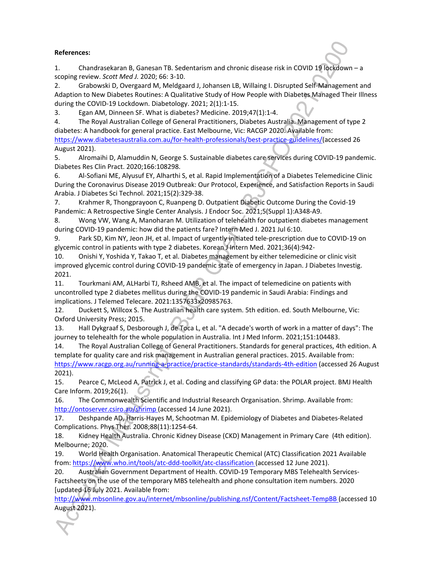# **References:**

1. Chandrasekaran B, Ganesan TB. Sedentarism and chronic disease risk in COVID 19 lockdown – a scoping review. *Scott Med J.* 2020; 66: 3-10.

2. Grabowski D, Overgaard M, Meldgaard J, Johansen LB, Willaing I. Disrupted Self-Management and Adaption to New Diabetes Routines: A Qualitative Study of How People with Diabetes Managed Their Illness during the COVID-19 Lockdown. Diabetology. 2021; 2(1):1-15.

3. Egan AM, Dinneen SF. What is diabetes? Medicine. 2019;47(1):1-4.

4. The Royal Australian College of General Practitioners, Diabetes Australia. Management of type 2 diabetes: A handbook for general practice. East Melbourne, Vic: RACGP 2020. Available from:

https://www.diabetesaustralia.com.au/for-health-professionals/best-practice-guidelines/(accessed 26 August 2021).

5. Alromaihi D, Alamuddin N, George S. Sustainable diabetes care services during COVID-19 pandemic. Diabetes Res Clin Pract. 2020;166:108298.

6. Al-Sofiani ME, Alyusuf EY, Alharthi S, et al. Rapid Implementation of a Diabetes Telemedicine Clinic During the Coronavirus Disease 2019 Outbreak: Our Protocol, Experience, and Satisfaction Reports in Saudi Arabia. J Diabetes Sci Technol. 2021;15(2):329-38.

7. Krahmer R, Thongprayoon C, Ruanpeng D. Outpatient Diabetic Outcome During the Covid-19 Pandemic: A Retrospective Single Center Analysis. J Endocr Soc. 2021;5(Suppl 1):A348-A9.

8. Wong VW, Wang A, Manoharan M. Utilization of telehealth for outpatient diabetes management during COVID-19 pandemic: how did the patients fare? Intern Med J. 2021 Jul 6:10.

9. Park SD, Kim NY, Jeon JH, et al. Impact of urgently initiated tele-prescription due to COVID-19 on glycemic control in patients with type 2 diabetes. Korean J Intern Med. 2021;36(4):942-

10. Onishi Y, Yoshida Y, Takao T, et al. Diabetes management by either telemedicine or clinic visit improved glycemic control during COVID-19 pandemic state of emergency in Japan. J Diabetes Investig. 2021.

11. Tourkmani AM, ALHarbi TJ, Rsheed AMB, et al. The impact of telemedicine on patients with uncontrolled type 2 diabetes mellitus during the COVID-19 pandemic in Saudi Arabia: Findings and implications. J Telemed Telecare. 2021:1357633x20985763.

12. Duckett S, Willcox S. The Australian health care system. 5th edition. ed. South Melbourne, Vic: Oxford University Press; 2015.

13. Hall Dykgraaf S, Desborough J, de Toca L, et al. "A decade's worth of work in a matter of days": The journey to telehealth for the whole population in Australia. Int J Med Inform. 2021;151:104483.

14. The Royal Australian College of General Practitioners. Standards for general practices, 4th edition. A template for quality care and risk management in Australian general practices. 2015. Available from: https://www.racgp.org.au/running-a-practice/practice-standards/standards-4th-edition (accessed 26 August 2021).

15. Pearce C, McLeod A, Patrick J, et al. Coding and classifying GP data: the POLAR project. BMJ Health Care Inform. 2019;26(1).

16. The Commonwealth Scientific and Industrial Research Organisation. Shrimp. Available from: http://ontoserver.csiro.au/shrimp (accessed 14 June 2021).

17. Deshpande AD, Harris-Hayes M, Schootman M. Epidemiology of Diabetes and Diabetes-Related Complications. Phys Ther. 2008;88(11):1254-64.

18. Kidney Health Australia. Chronic Kidney Disease (CKD) Management in Primary Care (4th edition). Melbourne; 2020.

19. World Health Organisation. Anatomical Therapeutic Chemical (ATC) Classification 2021 Available from: https://www.who.int/tools/atc-ddd-toolkit/atc-classification (accessed 12 June 2021).

20. Australian Government Department of Health. COVID-19 Temporary MBS Telehealth Services-Factsheets on the use of the temporary MBS telehealth and phone consultation item numbers. 2020 [updated 16 July 2021. Available from:

http://www.mbsonline.gov.au/internet/mbsonline/publishing.nsf/Content/Factsheet-TempBB (accessed 10 August 2021).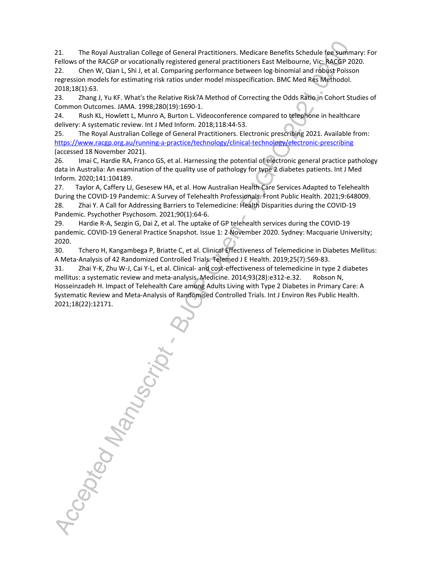21. The Royal Australian College of General Practitioners. Medicare Benefits Schedule fee summary: For Fellows of the RACGP or vocationally registered general practitioners East Melbourne, Vic: RACGP 2020.

22. Chen W, Qian L, Shi J, et al. Comparing performance between log-binomial and robust Poisson regression models for estimating risk ratios under model misspecification. BMC Med Res Methodol. 2018;18(1):63.

23. Zhang J, Yu KF. What's the Relative Risk?A Method of Correcting the Odds Ratio in Cohort Studies of Common Outcomes. JAMA. 1998;280(19):1690-1.

24. Rush KL, Howlett L, Munro A, Burton L. Videoconference compared to telephone in healthcare delivery: A systematic review. Int J Med Inform. 2018;118:44-53.

25. The Royal Australian College of General Practitioners. Electronic prescribing 2021. Available from: https://www.racgp.org.au/running-a-practice/technology/clinical-technology/electronic-prescribing (accessed 18 November 2021).

26. Imai C, Hardie RA, Franco GS, et al. Harnessing the potential of electronic general practice pathology data in Australia: An examination of the quality use of pathology for type 2 diabetes patients. Int J Med Inform. 2020;141:104189.

27. Taylor A, Caffery LJ, Gesesew HA, et al. How Australian Health Care Services Adapted to Telehealth During the COVID-19 Pandemic: A Survey of Telehealth Professionals. Front Public Health. 2021;9:648009.

28. Zhai Y. A Call for Addressing Barriers to Telemedicine: Health Disparities during the COVID-19 Pandemic. Psychother Psychosom. 2021;90(1):64-6.

29. Hardie R-A, Sezgin G, Dai Z, et al. The uptake of GP telehealth services during the COVID-19 pandemic. COVID-19 General Practice Snapshot. Issue 1: 2 November 2020. Sydney: Macquarie University; 2020.

30. Tchero H, Kangambega P, Briatte C, et al. Clinical Effectiveness of Telemedicine in Diabetes Mellitus: A Meta-Analysis of 42 Randomized Controlled Trials. Telemed J E Health. 2019;25(7):569-83.

31. Zhai Y-K, Zhu W-J, Cai Y-L, et al. Clinical- and cost-effectiveness of telemedicine in type 2 diabetes mellitus: a systematic review and meta-analysis. Medicine. 2014;93(28):e312-e.32. Robson N, Hosseinzadeh H. Impact of Telehealth Care among Adults Living with Type 2 Diabetes in Primary Care: A Systematic Review and Meta-Analysis of Randomised Controlled Trials. Int J Environ Res Public Health. 2021;18(22):12171.

Accepted Manuscript B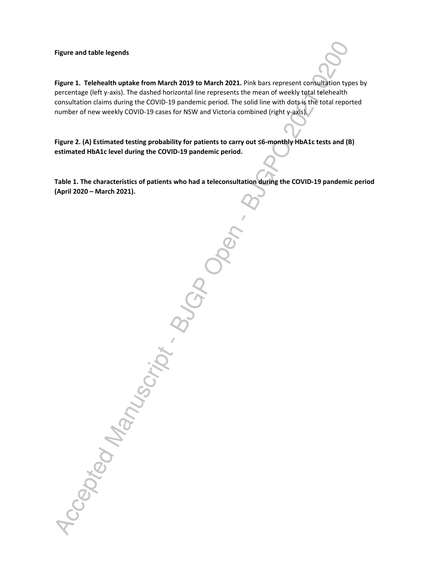#### **Figure and table legends**

**Figure 1. Telehealth uptake from March 2019 to March 2021.** Pink bars represent consultation types by percentage (left y-axis). The dashed horizontal line represents the mean of weekly total telehealth consultation claims during the COVID-19 pandemic period. The solid line with dots is the total reported number of new weekly COVID-19 cases for NSW and Victoria combined (right y-axis).

**Figure 2. (A) Estimated testing probability for patients to carry out ≤6-monthly HbA1c tests and (B) estimated HbA1c level during the COVID-19 pandemic period.**

Accepted Manuscript Burgos Deep - &

**Table 1. The characteristics of patients who had a teleconsultation during the COVID-19 pandemic period (April 2020 – March 2021).**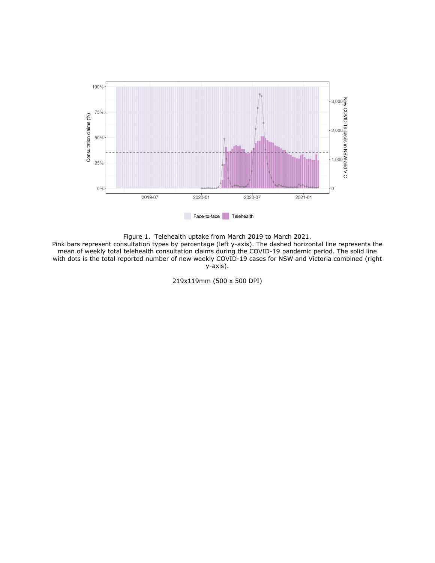

Figure 1. Telehealth uptake from March 2019 to March 2021.

Pink bars represent consultation types by percentage (left y-axis). The dashed horizontal line represents the mean of weekly total telehealth consultation claims during the COVID-19 pandemic period. The solid line with dots is the total reported number of new weekly COVID-19 cases for NSW and Victoria combined (right y-axis).

219x119mm (500 x 500 DPI)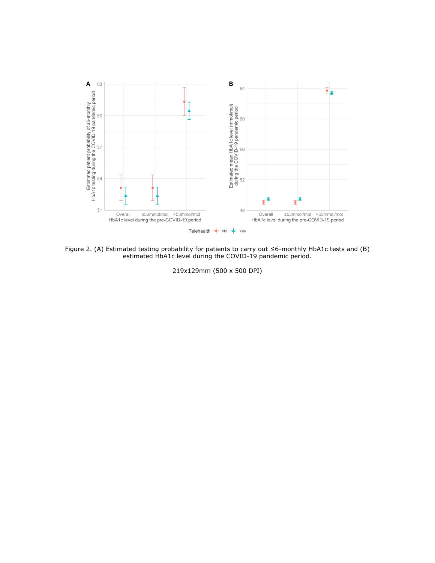

Figure 2. (A) Estimated testing probability for patients to carry out ≤6-monthly HbA1c tests and (B) estimated HbA1c level during the COVID-19 pandemic period.

219x129mm (500 x 500 DPI)